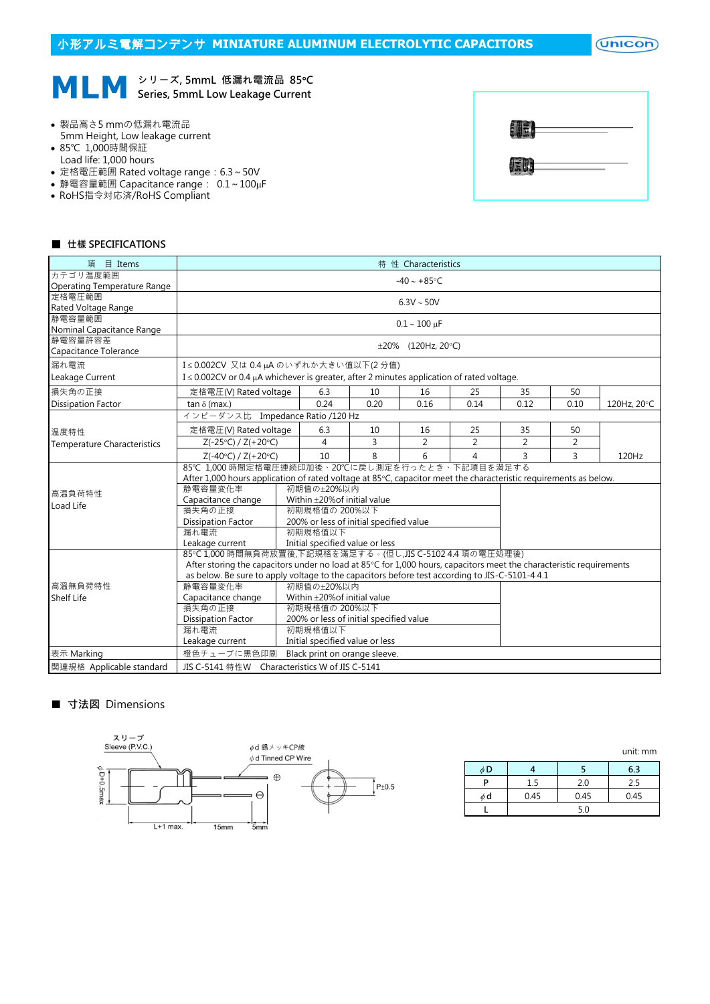$($ Unicon $)$ 

**MLM**  $\circ$ <sup>リーズ, 5mmL 低漏れ電流品 85°C<br>Series, 5mmL Low Leakage Current</sup> シリーズ, 5mmL 低漏れ電流品 85℃

- 製品高さ5 mmの低漏れ電流品 5mm Height, Low leakage current
- 85℃ 1,000時間保証
- Load life: 1,000 hours
- 定格電圧範囲 Rated voltage range:6.3~50V
- 静電容量範囲 Capacitance range:  $0.1 \sim 100 \mu$ F
- RoHS指令対応済/RoHS Compliant



#### ■ 仕樣 SPECIFICATIONS

| $\boxplus$ Items<br>項              | 特 性 Characteristics                                                                                                 |                                   |      |                |                |                |      |             |  |  |  |
|------------------------------------|---------------------------------------------------------------------------------------------------------------------|-----------------------------------|------|----------------|----------------|----------------|------|-------------|--|--|--|
| カテゴリ温度範囲                           | $-40 \sim +85$ °C                                                                                                   |                                   |      |                |                |                |      |             |  |  |  |
| <b>Operating Temperature Range</b> |                                                                                                                     |                                   |      |                |                |                |      |             |  |  |  |
| 定格雷圧範囲                             | $6.3V \sim 50V$                                                                                                     |                                   |      |                |                |                |      |             |  |  |  |
| Rated Voltage Range<br>静電容量範囲      |                                                                                                                     |                                   |      |                |                |                |      |             |  |  |  |
| Nominal Capacitance Range          | $0.1 \sim 100 \mu F$                                                                                                |                                   |      |                |                |                |      |             |  |  |  |
| 静電容量許容差                            |                                                                                                                     |                                   |      |                |                |                |      |             |  |  |  |
| Capacitance Tolerance              | $\pm 20\%$ (120Hz, 20°C)                                                                                            |                                   |      |                |                |                |      |             |  |  |  |
| 漏れ電流                               |                                                                                                                     | I≤0.002CV 又は0.4µAのいずれか大きい値以下(2分値) |      |                |                |                |      |             |  |  |  |
| Leakage Current                    | I ≤ 0.002CV or 0.4 µA whichever is greater, after 2 minutes application of rated voltage.                           |                                   |      |                |                |                |      |             |  |  |  |
| 損失角の正接                             | 定格電圧(V) Rated voltage                                                                                               | 6.3                               | 10   | 16             | 25             | 35             | 50   |             |  |  |  |
| <b>Dissipation Factor</b>          | $tan \delta$ (max.)                                                                                                 | 0.24                              | 0.20 | 0.16           | 0.14           | 0.12           | 0.10 | 120Hz, 20°C |  |  |  |
|                                    | インピーダンス比 Impedance Ratio /120 Hz                                                                                    |                                   |      |                |                |                |      |             |  |  |  |
| 温度特性                               | 定格電圧(V) Rated voltage                                                                                               | 6.3                               | 10   | 16             | 25             | 35             | 50   |             |  |  |  |
| <b>Temperature Characteristics</b> | $Z(-25°C) / Z(+20°C)$                                                                                               | 4                                 | 3    | $\overline{2}$ | $\overline{2}$ | $\overline{2}$ | 2    |             |  |  |  |
|                                    | $Z(-40°C) / Z(+20°C)$                                                                                               | 10                                | 8    | 6              | 4              | 3              | 3    | 120Hz       |  |  |  |
|                                    | 85℃ 1,000 時間定格電圧連続印加後、20℃に戻し測定を行ったとき、下記項目を満足する                                                                      |                                   |      |                |                |                |      |             |  |  |  |
|                                    | After 1,000 hours application of rated voltage at 85°C, capacitor meet the characteristic requirements as below.    |                                   |      |                |                |                |      |             |  |  |  |
| 高温負荷特性                             | 初期值の±20%以内<br>静電容量変化率                                                                                               |                                   |      |                |                |                |      |             |  |  |  |
| Load Life                          | Capacitance change<br>Within ±20% of initial value                                                                  |                                   |      |                |                |                |      |             |  |  |  |
|                                    | 初期規格値の 200%以下<br>損失角の正接                                                                                             |                                   |      |                |                |                |      |             |  |  |  |
|                                    | 200% or less of initial specified value<br>Dissipation Factor                                                       |                                   |      |                |                |                |      |             |  |  |  |
|                                    | 漏れ電流<br>初期規格值以下                                                                                                     |                                   |      |                |                |                |      |             |  |  |  |
|                                    | Initial specified value or less<br>Leakage current                                                                  |                                   |      |                |                |                |      |             |  |  |  |
|                                    | 85℃1,000時間無負荷放置後,下記規格を滿足する。(但し,JIS C-5102 4.4 項の電圧処理後)                                                              |                                   |      |                |                |                |      |             |  |  |  |
|                                    | After storing the capacitors under no load at 85°C for 1,000 hours, capacitors meet the characteristic requirements |                                   |      |                |                |                |      |             |  |  |  |
|                                    | as below. Be sure to apply voltage to the capacitors before test according to JIS-C-5101-4 4.1                      |                                   |      |                |                |                |      |             |  |  |  |
| 高溫無負荷特性                            | 静雷容量変化率<br>初期值の±20%以内                                                                                               |                                   |      |                |                |                |      |             |  |  |  |
| <b>Shelf Life</b>                  | Within ±20% of initial value<br>Capacitance change                                                                  |                                   |      |                |                |                |      |             |  |  |  |
|                                    | 損失角の正接<br>初期規格值の 200%以下                                                                                             |                                   |      |                |                |                |      |             |  |  |  |
|                                    | <b>Dissipation Factor</b><br>200% or less of initial specified value                                                |                                   |      |                |                |                |      |             |  |  |  |
|                                    | 漏れ電流<br>初期規格值以下                                                                                                     |                                   |      |                |                |                |      |             |  |  |  |
|                                    | Leakage current                                                                                                     | Initial specified value or less   |      |                |                |                |      |             |  |  |  |
| 表示 Marking                         | 橙色チューブに黒色印刷 Black print on orange sleeve.                                                                           |                                   |      |                |                |                |      |             |  |  |  |
| 関連規格 Applicable standard           | JIS C-5141 特性W Characteristics W of JIS C-5141                                                                      |                                   |      |                |                |                |      |             |  |  |  |

# ■ 寸法図 Dimensions



|          |      |      | <u>unit.</u> 111111 |
|----------|------|------|---------------------|
| $\phi$ D |      |      | 6.3                 |
| P        | 1.5  | 2.0  | 2.5                 |
| φd       | 0.45 | 0.45 | 0.45                |
|          |      | 5.0  |                     |